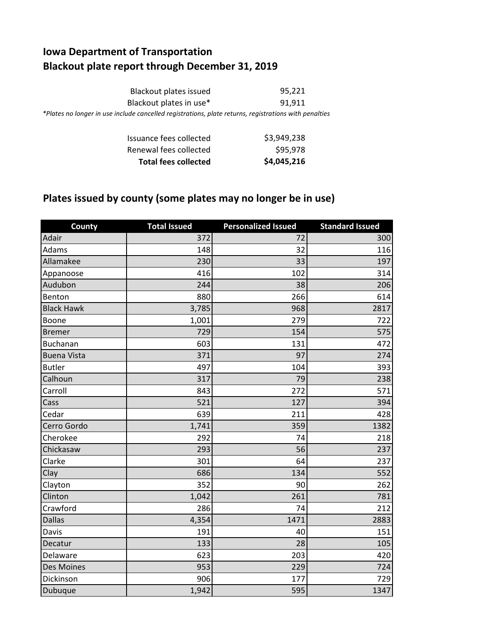## **Iowa Department of Transportation Blackout plate report through December 31, 2019**

| Blackout plates issued                                                                                | 95,221 |
|-------------------------------------------------------------------------------------------------------|--------|
| Blackout plates in use*                                                                               | 91.911 |
| *Plates no longer in use include cancelled registrations, plate returns, registrations with penalties |        |

| <b>Total fees collected</b> | \$4,045,216 |
|-----------------------------|-------------|
| Renewal fees collected      | \$95,978    |
| Issuance fees collected     | \$3,949,238 |

## **Plates issued by county (some plates may no longer be in use)**

| <b>County</b>      | <b>Total Issued</b> | <b>Personalized Issued</b> | <b>Standard Issued</b> |
|--------------------|---------------------|----------------------------|------------------------|
| Adair              | $\frac{1}{372}$     | 72                         | 300                    |
| Adams              | 148                 | 32                         | 116                    |
| Allamakee          | 230                 | 33                         | 197                    |
| Appanoose          | 416                 | 102                        | 314                    |
| Audubon            | 244                 | 38                         | 206                    |
| Benton             | 880                 | 266                        | 614                    |
| <b>Black Hawk</b>  | 3,785               | 968                        | 2817                   |
| Boone              | 1,001               | 279                        | 722                    |
| <b>Bremer</b>      | 729                 | 154                        | 575                    |
| <b>Buchanan</b>    | 603                 | 131                        | 472                    |
| <b>Buena Vista</b> | 371                 | 97                         | 274                    |
| <b>Butler</b>      | 497                 | 104                        | 393                    |
| Calhoun            | 317                 | 79                         | 238                    |
| Carroll            | 843                 | 272                        | 571                    |
| Cass               | 521                 | 127                        | 394                    |
| Cedar              | 639                 | 211                        | 428                    |
| Cerro Gordo        | 1,741               | 359                        | 1382                   |
| Cherokee           | 292                 | 74                         | 218                    |
| Chickasaw          | 293                 | 56                         | 237                    |
| Clarke             | 301                 | 64                         | 237                    |
| Clay               | 686                 | 134                        | 552                    |
| Clayton            | 352                 | 90                         | 262                    |
| Clinton            | 1,042               | 261                        | 781                    |
| Crawford           | 286                 | 74                         | 212                    |
| <b>Dallas</b>      | 4,354               | 1471                       | 2883                   |
| Davis              | 191                 | 40                         | 151                    |
| Decatur            | 133                 | 28                         | 105                    |
| Delaware           | 623                 | 203                        | 420                    |
| <b>Des Moines</b>  | 953                 | 229                        | 724                    |
| Dickinson          | 906                 | 177                        | 729                    |
| Dubuque            | 1,942               | 595                        | 1347                   |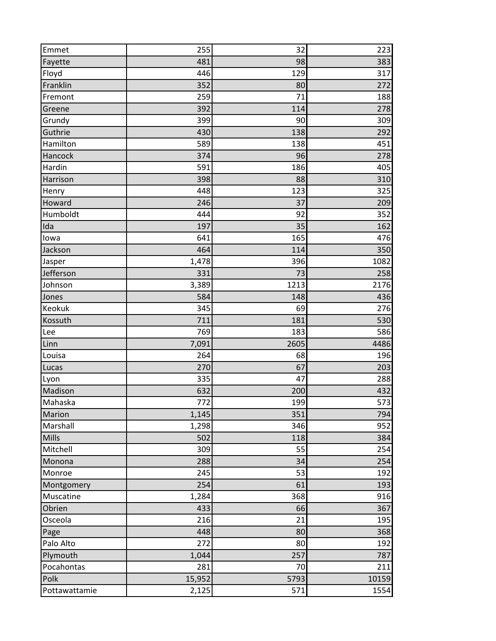| Emmet         | 255    | 32   | 223   |
|---------------|--------|------|-------|
| Fayette       | 481    | 98   | 383   |
| Floyd         | 446    | 129  | 317   |
| Franklin      | 352    | 80   | 272   |
| Fremont       | 259    | 71   | 188   |
| Greene        | 392    | 114  | 278   |
| Grundy        | 399    | 90   | 309   |
| Guthrie       | 430    | 138  | 292   |
| Hamilton      | 589    | 138  | 451   |
| Hancock       | 374    | 96   | 278   |
| Hardin        | 591    | 186  | 405   |
| Harrison      | 398    | 88   | 310   |
| Henry         | 448    | 123  | 325   |
| Howard        | 246    | 37   | 209   |
| Humboldt      | 444    | 92   | 352   |
| Ida           | 197    | 35   | 162   |
| lowa          | 641    | 165  | 476   |
| Jackson       | 464    | 114  | 350   |
| Jasper        | 1,478  | 396  | 1082  |
| Jefferson     | 331    | 73   | 258   |
| Johnson       | 3,389  | 1213 | 2176  |
| Jones         | 584    | 148  | 436   |
| Keokuk        | 345    | 69   | 276   |
| Kossuth       | 711    | 181  | 530   |
| Lee           | 769    | 183  | 586   |
| Linn          | 7,091  | 2605 | 4486  |
| Louisa        | 264    | 68   | 196   |
| Lucas         | 270    | 67   | 203   |
| Lyon          | 335    | 47   | 288   |
| Madison       | 632    | 200  | 432   |
| Mahaska       | 772    | 199  | 573   |
| <b>Marion</b> | 1,145  | 351  | 794   |
| Marshall      | 1,298  | 346  | 952   |
| Mills         | 502    | 118  | 384   |
| Mitchell      | 309    | 55   | 254   |
| Monona        | 288    | 34   | 254   |
| Monroe        | 245    | 53   | 192   |
| Montgomery    | 254    | 61   | 193   |
| Muscatine     | 1,284  | 368  | 916   |
| Obrien        | 433    | 66   | 367   |
| Osceola       | 216    | 21   | 195   |
| Page          | 448    | 80   | 368   |
| Palo Alto     | 272    | 80   | 192   |
| Plymouth      | 1,044  | 257  | 787   |
| Pocahontas    | 281    | 70   | 211   |
| Polk          | 15,952 | 5793 | 10159 |
| Pottawattamie | 2,125  | 571  | 1554  |